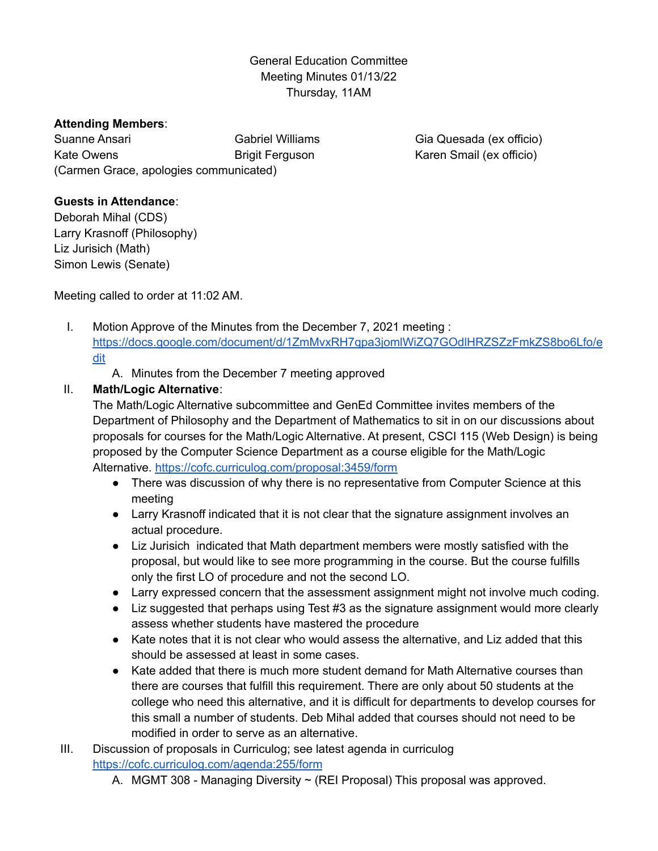## General Education Committee Meeting Minutes 01/13/22 Thursday, 11AM

## **Attending Members**:

Suanne Ansari Kate Owens Gabriel Williams Brigit Ferguson (Carmen Grace, apologies communicated)

Gia Quesada (ex officio) Karen Smail (ex officio)

## **Guests in Attendance**:

Deborah Mihal (CDS) Larry Krasnoff (Philosophy) Liz Jurisich (Math) Simon Lewis (Senate)

Meeting called to order at 11:02 AM.

- I. Motion Approve of the Minutes from the December 7, 2021 meeting : [https://docs.google.com/document/d/1ZmMvxRH7qpa3jomlWiZQ7GOdlHRZSZzFmkZS8bo6Lfo/e](https://docs.google.com/document/d/1ZmMvxRH7qpa3jomlWiZQ7GOdlHRZSZzFmkZS8bo6Lfo/edit) [dit](https://docs.google.com/document/d/1ZmMvxRH7qpa3jomlWiZQ7GOdlHRZSZzFmkZS8bo6Lfo/edit)
	- A. Minutes from the December 7 meeting approved

## II. **Math/Logic Alternative**:

The Math/Logic Alternative subcommittee and GenEd Committee invites members of the Department of Philosophy and the Department of Mathematics to sit in on our discussions about proposals for courses for the Math/Logic Alternative. At present, CSCI 115 (Web Design) is being proposed by the Computer Science Department as a course eligible for the Math/Logic Alternative. <https://cofc.curriculog.com/proposal:3459/form>

- There was discussion of why there is no representative from Computer Science at this meeting
- Larry Krasnoff indicated that it is not clear that the signature assignment involves an actual procedure.
- Liz Jurisich indicated that Math department members were mostly satisfied with the proposal, but would like to see more programming in the course. But the course fulfills only the first LO of procedure and not the second LO.
- Larry expressed concern that the assessment assignment might not involve much coding.
- Liz suggested that perhaps using Test #3 as the signature assignment would more clearly assess whether students have mastered the procedure
- Kate notes that it is not clear who would assess the alternative, and Liz added that this should be assessed at least in some cases.
- Kate added that there is much more student demand for Math Alternative courses than there are courses that fulfill this requirement. There are only about 50 students at the college who need this alternative, and it is difficult for departments to develop courses for this small a number of students. Deb Mihal added that courses should not need to be modified in order to serve as an alternative.
- III. Discussion of proposals in Curriculog; see latest agenda in curriculog <https://cofc.curriculog.com/agenda:255/form>
	- A. MGMT 308 Managing Diversity ~ (REI Proposal) This proposal was approved.